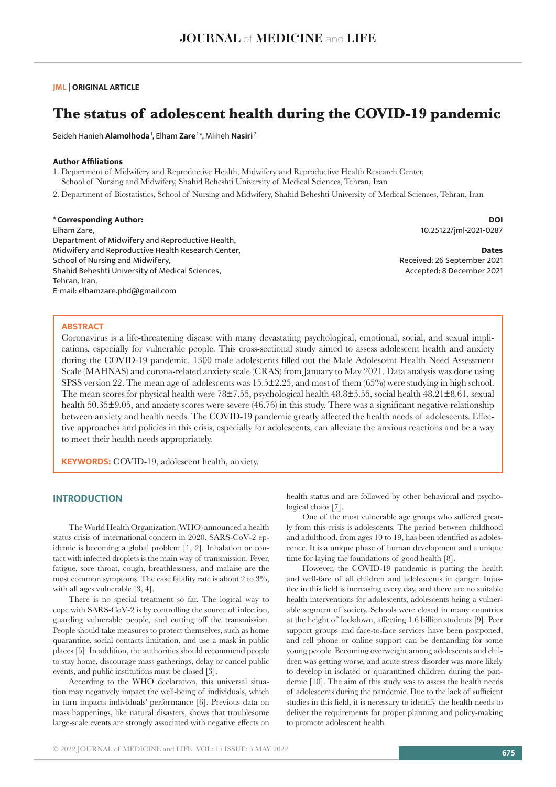### **JML | ORIGINAL ARTICLE**

# **The status of adolescent health during the COVID-19 pandemic**

Seideh Hanieh **Alamolhoda** 1, Elham **Zare** 1 \*, Mliheh **Nasiri**<sup>2</sup>

## **Author Affiliations**

1. Department of Midwifery and Reproductive Health, Midwifery and Reproductive Health Research Center, School of Nursing and Midwifery, Shahid Beheshti University of Medical Sciences, Tehran, Iran

2. Department of Biostatistics, School of Nursing and Midwifery, Shahid Beheshti University of Medical Sciences, Tehran, Iran

### **\*Corresponding Author:**

Elham Zare, Department of Midwifery and Reproductive Health, Midwifery and Reproductive Health Research Center, School of Nursing and Midwifery, Shahid Beheshti University of Medical Sciences, Tehran, Iran. E-mail: elhamzare.phd@gmail.com

**DOI** 10.25122/jml-2021-0287

**Dates** Received: 26 September 2021 Accepted: 8 December 2021

### **ABSTRACT**

Coronavirus is a life-threatening disease with many devastating psychological, emotional, social, and sexual implications, especially for vulnerable people. This cross-sectional study aimed to assess adolescent health and anxiety during the COVID-19 pandemic. 1300 male adolescents filled out the Male Adolescent Health Need Assessment Scale (MAHNAS) and corona-related anxiety scale (CRAS) from January to May 2021. Data analysis was done using SPSS version 22. The mean age of adolescents was 15.5±2.25, and most of them (65%) were studying in high school. The mean scores for physical health were 78±7.55, psychological health 48.8±5.55, social health 48.21±8.61, sexual health  $50.35\pm9.05$ , and anxiety scores were severe  $(46.76)$  in this study. There was a significant negative relationship between anxiety and health needs. The COVID-19 pandemic greatly affected the health needs of adolescents. Effective approaches and policies in this crisis, especially for adolescents, can alleviate the anxious reactions and be a way to meet their health needs appropriately.

**KEYWORDS:** COVID-19, adolescent health, anxiety.

# **INTRODUCTION**

The World Health Organization (WHO) announced a health status crisis of international concern in 2020. SARS‐CoV‐2 epidemic is becoming a global problem [1, 2]. Inhalation or contact with infected droplets is the main way of transmission. Fever, fatigue, sore throat, cough, breathlessness, and malaise are the most common symptoms. The case fatality rate is about 2 to 3%, with all ages vulnerable [3, 4].

There is no special treatment so far. The logical way to cope with SARS‐CoV‐2 is by controlling the source of infection, guarding vulnerable people, and cutting off the transmission. People should take measures to protect themselves, such as home quarantine, social contacts limitation, and use a mask in public places [5]. In addition, the authorities should recommend people to stay home, discourage mass gatherings, delay or cancel public events, and public institutions must be closed [3].

According to the WHO declaration, this universal situation may negatively impact the well-being of individuals, which in turn impacts individuals' performance [6]. Previous data on mass happenings, like natural disasters, shows that troublesome large-scale events are strongly associated with negative effects on health status and are followed by other behavioral and psychological chaos [7].

One of the most vulnerable age groups who suffered greatly from this crisis is adolescents. The period between childhood and adulthood, from ages 10 to 19, has been identified as adolescence. It is a unique phase of human development and a unique time for laying the foundations of good health [8].

However, the COVID-19 pandemic is putting the health and well-fare of all children and adolescents in danger. Injustice in this field is increasing every day, and there are no suitable health interventions for adolescents, adolescents being a vulnerable segment of society. Schools were closed in many countries at the height of lockdown, affecting 1.6 billion students [9]. Peer support groups and face-to-face services have been postponed, and cell phone or online support can be demanding for some young people. Becoming overweight among adolescents and children was getting worse, and acute stress disorder was more likely to develop in isolated or quarantined children during the pandemic [10]. The aim of this study was to assess the health needs of adolescents during the pandemic. Due to the lack of sufficient studies in this field, it is necessary to identify the health needs to deliver the requirements for proper planning and policy-making to promote adolescent health.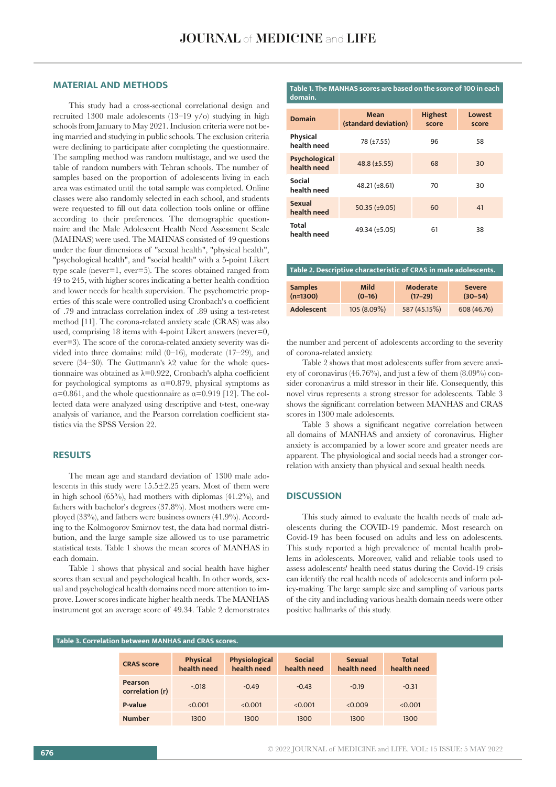### **MATERIAL AND METHODS**

This study had a cross-sectional correlational design and recruited 1300 male adolescents (13–19 y/o) studying in high schools from January to May 2021. Inclusion criteria were not being married and studying in public schools. The exclusion criteria were declining to participate after completing the questionnaire. The sampling method was random multistage, and we used the table of random numbers with Tehran schools. The number of samples based on the proportion of adolescents living in each area was estimated until the total sample was completed. Online classes were also randomly selected in each school, and students were requested to fill out data collection tools online or offline according to their preferences. The demographic questionnaire and the Male Adolescent Health Need Assessment Scale (MAHNAS) were used. The MAHNAS consisted of 49 questions under the four dimensions of "sexual health", "physical health", "psychological health", and "social health" with a 5-point Likert type scale (never=1, ever=5). The scores obtained ranged from 49 to 245, with higher scores indicating a better health condition and lower needs for health supervision. The psychometric properties of this scale were controlled using Cronbach's α coefficient of .79 and intraclass correlation index of .89 using a test-retest method [11]. The corona-related anxiety scale (CRAS) was also used, comprising 18 items with 4-point Likert answers (never=0, ever=3). The score of the corona-related anxiety severity was divided into three domains: mild (0–16), moderate (17–29), and severe (54–30). The Guttmann's  $\lambda$ 2 value for the whole questionnaire was obtained as  $\lambda = 0.922$ , Cronbach's alpha coefficient for psychological symptoms as  $\alpha$ =0.879, physical symptoms as  $\alpha$ =0.861, and the whole questionnaire as  $\alpha$ =0.919 [12]. The collected data were analyzed using descriptive and t-test, one-way analysis of variance, and the Pearson correlation coefficient statistics via the SPSS Version 22.

# **RESULTS**

The mean age and standard deviation of 1300 male adolescents in this study were 15.5±2.25 years. Most of them were in high school  $(65\%)$ , had mothers with diplomas  $(41.2\%)$ , and fathers with bachelor's degrees (37.8%). Most mothers were employed (33%), and fathers were business owners (41.9%). According to the Kolmogorov Smirnov test, the data had normal distribution, and the large sample size allowed us to use parametric statistical tests. Table 1 shows the mean scores of MANHAS in each domain.

Table 1 shows that physical and social health have higher scores than sexual and psychological health. In other words, sexual and psychological health domains need more attention to improve. Lower scores indicate higher health needs. The MANHAS instrument got an average score of 49.34. Table 2 demonstrates

#### **Table 1. The MANHAS scores are based on the score of 100 in each domain.**

| <b>Domain</b>                  | Mean<br>(standard deviation)   | <b>Highest</b><br>score | Lowest<br>score |
|--------------------------------|--------------------------------|-------------------------|-----------------|
| <b>Physical</b><br>health need | 78 (±7.55)                     | 96                      | 58              |
| Psychological<br>health need   | $48.8 \left( \pm 5.55 \right)$ | 68                      | 30              |
| Social<br>health need          | $48.21 (\pm 8.61)$             | 70                      | 30              |
| <b>Sexual</b><br>health need   | $50.35$ ( $\pm$ 9.05)          | 60                      | 41              |
| <b>Total</b><br>health need    | 49.34 (±5.05)                  | 61                      | 38              |

| Table 2. Descriptive characteristic of CRAS in male adolescents. |             |              |               |  |  |  |  |  |
|------------------------------------------------------------------|-------------|--------------|---------------|--|--|--|--|--|
|                                                                  |             |              |               |  |  |  |  |  |
| <b>Samples</b>                                                   | <b>Mild</b> | Moderate     | <b>Severe</b> |  |  |  |  |  |
| $(n=1300)$                                                       | $(0-16)$    | $(17-29)$    | $(30-54)$     |  |  |  |  |  |
| Adolescent                                                       | 105 (8.09%) | 587 (45.15%) | 608 (46.76)   |  |  |  |  |  |

the number and percent of adolescents according to the severity of corona-related anxiety.

Table 2 shows that most adolescents suffer from severe anxiety of coronavirus (46.76%), and just a few of them (8.09%) consider coronavirus a mild stressor in their life. Consequently, this novel virus represents a strong stressor for adolescents. Table 3 shows the significant correlation between MANHAS and CRAS scores in 1300 male adolescents.

Table 3 shows a significant negative correlation between all domains of MANHAS and anxiety of coronavirus. Higher anxiety is accompanied by a lower score and greater needs are apparent. The physiological and social needs had a stronger correlation with anxiety than physical and sexual health needs.

# **DISCUSSION**

This study aimed to evaluate the health needs of male adolescents during the COVID-19 pandemic. Most research on Covid-19 has been focused on adults and less on adolescents. This study reported a high prevalence of mental health problems in adolescents. Moreover, valid and reliable tools used to assess adolescents' health need status during the Covid-19 crisis can identify the real health needs of adolescents and inform policy-making. The large sample size and sampling of various parts of the city and including various health domain needs were other positive hallmarks of this study.

| Table 3. Correlation between MANHAS and CRAS scores. |                            |                                |                              |                              |                              |                             |  |  |
|------------------------------------------------------|----------------------------|--------------------------------|------------------------------|------------------------------|------------------------------|-----------------------------|--|--|
|                                                      | <b>CRAS</b> score          | <b>Physical</b><br>health need | Physiological<br>health need | <b>Social</b><br>health need | <b>Sexual</b><br>health need | <b>Total</b><br>health need |  |  |
|                                                      | Pearson<br>correlation (r) | $-.018$                        | $-0.49$                      | $-0.43$                      | $-0.19$                      | $-0.31$                     |  |  |
|                                                      | P-value                    | < 0.001                        | < 0.001                      | < 0.001                      | < 0.009                      | < 0.001                     |  |  |
|                                                      | <b>Number</b>              | 1300                           | 1300                         | 1300                         | 1300                         | 1300                        |  |  |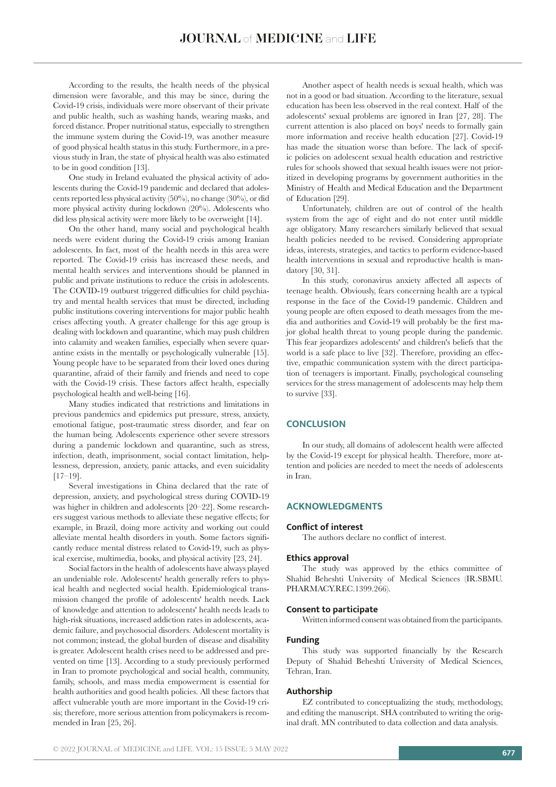According to the results, the health needs of the physical dimension were favorable, and this may be since, during the Covid-19 crisis, individuals were more observant of their private and public health, such as washing hands, wearing masks, and forced distance. Proper nutritional status, especially to strengthen the immune system during the Covid-19, was another measure of good physical health status in this study. Furthermore, in a previous study in Iran, the state of physical health was also estimated to be in good condition [13].

One study in Ireland evaluated the physical activity of adolescents during the Covid-19 pandemic and declared that adolescents reported less physical activity (50%), no change (30%), or did more physical activity during lockdown (20%). Adolescents who did less physical activity were more likely to be overweight [14].

On the other hand, many social and psychological health needs were evident during the Covid-19 crisis among Iranian adolescents. In fact, most of the health needs in this area were reported. The Covid-19 crisis has increased these needs, and mental health services and interventions should be planned in public and private institutions to reduce the crisis in adolescents. The COVID-19 outburst triggered difficulties for child psychiatry and mental health services that must be directed, including public institutions covering interventions for major public health crises affecting youth. A greater challenge for this age group is dealing with lockdown and quarantine, which may push children into calamity and weaken families, especially when severe quarantine exists in the mentally or psychologically vulnerable [15]. Young people have to be separated from their loved ones during quarantine, afraid of their family and friends and need to cope with the Covid-19 crisis. These factors affect health, especially psychological health and well-being [16].

Many studies indicated that restrictions and limitations in previous pandemics and epidemics put pressure, stress, anxiety, emotional fatigue, post-traumatic stress disorder, and fear on the human being. Adolescents experience other severe stressors during a pandemic lockdown and quarantine, such as stress, infection, death, imprisonment, social contact limitation, helplessness, depression, anxiety, panic attacks, and even suicidality [17–19].

Several investigations in China declared that the rate of depression, anxiety, and psychological stress during COVID-19 was higher in children and adolescents [20–22]. Some researchers suggest various methods to alleviate these negative effects; for example, in Brazil, doing more activity and working out could alleviate mental health disorders in youth. Some factors significantly reduce mental distress related to Covid-19, such as physical exercise, multimedia, books, and physical activity [23, 24].

Social factors in the health of adolescents have always played an undeniable role. Adolescents' health generally refers to physical health and neglected social health. Epidemiological transmission changed the profile of adolescents' health needs. Lack of knowledge and attention to adolescents' health needs leads to high-risk situations, increased addiction rates in adolescents, academic failure, and psychosocial disorders. Adolescent mortality is not common; instead, the global burden of disease and disability is greater. Adolescent health crises need to be addressed and prevented on time [13]. According to a study previously performed in Iran to promote psychological and social health, community, family, schools, and mass media empowerment is essential for health authorities and good health policies. All these factors that affect vulnerable youth are more important in the Covid-19 crisis; therefore, more serious attention from policymakers is recommended in Iran [25, 26].

Another aspect of health needs is sexual health, which was not in a good or bad situation. According to the literature, sexual education has been less observed in the real context. Half of the adolescents' sexual problems are ignored in Iran [27, 28]. The current attention is also placed on boys' needs to formally gain more information and receive health education [27]. Covid-19 has made the situation worse than before. The lack of specific policies on adolescent sexual health education and restrictive rules for schools showed that sexual health issues were not prioritized in developing programs by government authorities in the Ministry of Health and Medical Education and the Department of Education [29].

Unfortunately, children are out of control of the health system from the age of eight and do not enter until middle age obligatory. Many researchers similarly believed that sexual health policies needed to be revised. Considering appropriate ideas, interests, strategies, and tactics to perform evidence-based health interventions in sexual and reproductive health is mandatory [30, 31].

In this study, coronavirus anxiety affected all aspects of teenage health. Obviously, fears concerning health are a typical response in the face of the Covid-19 pandemic. Children and young people are often exposed to death messages from the media and authorities and Covid-19 will probably be the first major global health threat to young people during the pandemic. This fear jeopardizes adolescents' and children's beliefs that the world is a safe place to live [32]. Therefore, providing an effective, empathic communication system with the direct participation of teenagers is important. Finally, psychological counseling services for the stress management of adolescents may help them to survive [33].

### **CONCLUSION**

In our study, all domains of adolescent health were affected by the Covid-19 except for physical health. Therefore, more attention and policies are needed to meet the needs of adolescents in Iran.

### **ACKNOWLEDGMENTS**

### **Conflict of interest**

The authors declare no conflict of interest.

#### **Ethics approval**

The study was approved by the ethics committee of Shahid Beheshti University of Medical Sciences (IR.SBMU. PHARMACY.REC.1399.266).

#### **Consent to participate**

Written informed consent was obtained from the participants.

#### **Funding**

This study was supported financially by the Research Deputy of Shahid Beheshti University of Medical Sciences, Tehran, Iran.

### **Authorship**

EZ contributed to conceptualizing the study, methodology, and editing the manuscript. SHA contributed to writing the original draft. MN contributed to data collection and data analysis.